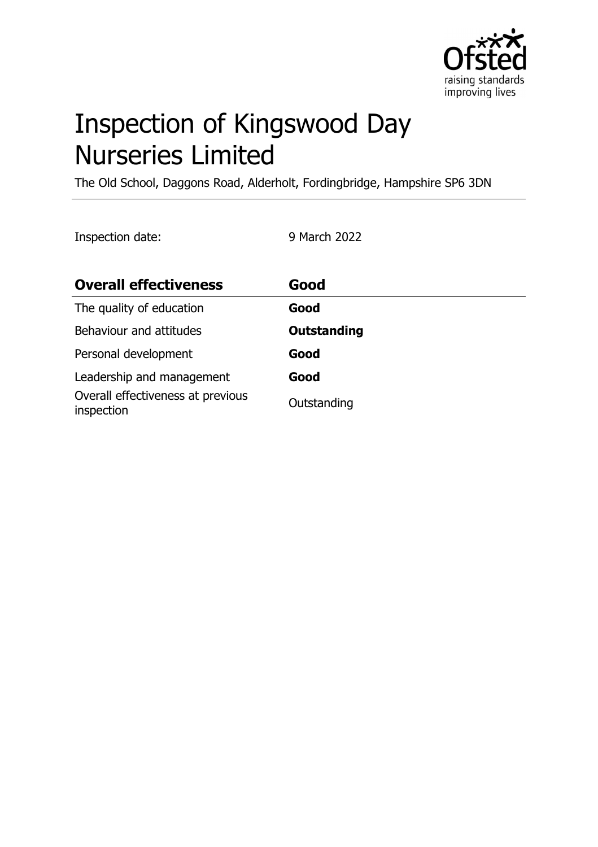

# Inspection of Kingswood Day Nurseries Limited

The Old School, Daggons Road, Alderholt, Fordingbridge, Hampshire SP6 3DN

Inspection date: 9 March 2022

| <b>Overall effectiveness</b>                    | Good               |
|-------------------------------------------------|--------------------|
| The quality of education                        | Good               |
| Behaviour and attitudes                         | <b>Outstanding</b> |
| Personal development                            | Good               |
| Leadership and management                       | Good               |
| Overall effectiveness at previous<br>inspection | Outstanding        |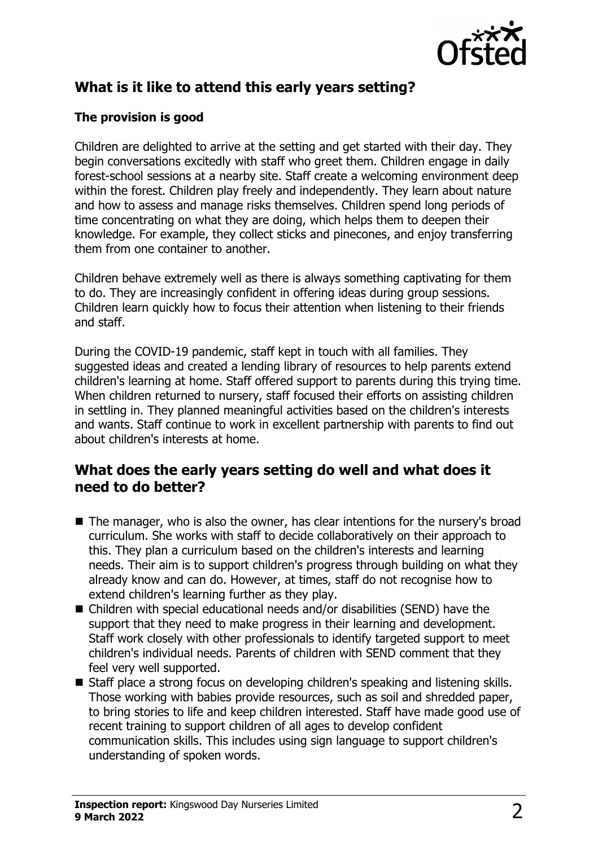

# **What is it like to attend this early years setting?**

#### **The provision is good**

Children are delighted to arrive at the setting and get started with their day. They begin conversations excitedly with staff who greet them. Children engage in daily forest-school sessions at a nearby site. Staff create a welcoming environment deep within the forest. Children play freely and independently. They learn about nature and how to assess and manage risks themselves. Children spend long periods of time concentrating on what they are doing, which helps them to deepen their knowledge. For example, they collect sticks and pinecones, and enjoy transferring them from one container to another.

Children behave extremely well as there is always something captivating for them to do. They are increasingly confident in offering ideas during group sessions. Children learn quickly how to focus their attention when listening to their friends and staff.

During the COVID-19 pandemic, staff kept in touch with all families. They suggested ideas and created a lending library of resources to help parents extend children's learning at home. Staff offered support to parents during this trying time. When children returned to nursery, staff focused their efforts on assisting children in settling in. They planned meaningful activities based on the children's interests and wants. Staff continue to work in excellent partnership with parents to find out about children's interests at home.

#### **What does the early years setting do well and what does it need to do better?**

- $\blacksquare$  The manager, who is also the owner, has clear intentions for the nursery's broad curriculum. She works with staff to decide collaboratively on their approach to this. They plan a curriculum based on the children's interests and learning needs. Their aim is to support children's progress through building on what they already know and can do. However, at times, staff do not recognise how to extend children's learning further as they play.
- $\blacksquare$  Children with special educational needs and/or disabilities (SEND) have the support that they need to make progress in their learning and development. Staff work closely with other professionals to identify targeted support to meet children's individual needs. Parents of children with SEND comment that they feel very well supported.
- Staff place a strong focus on developing children's speaking and listening skills. Those working with babies provide resources, such as soil and shredded paper, to bring stories to life and keep children interested. Staff have made good use of recent training to support children of all ages to develop confident communication skills. This includes using sign language to support children's understanding of spoken words.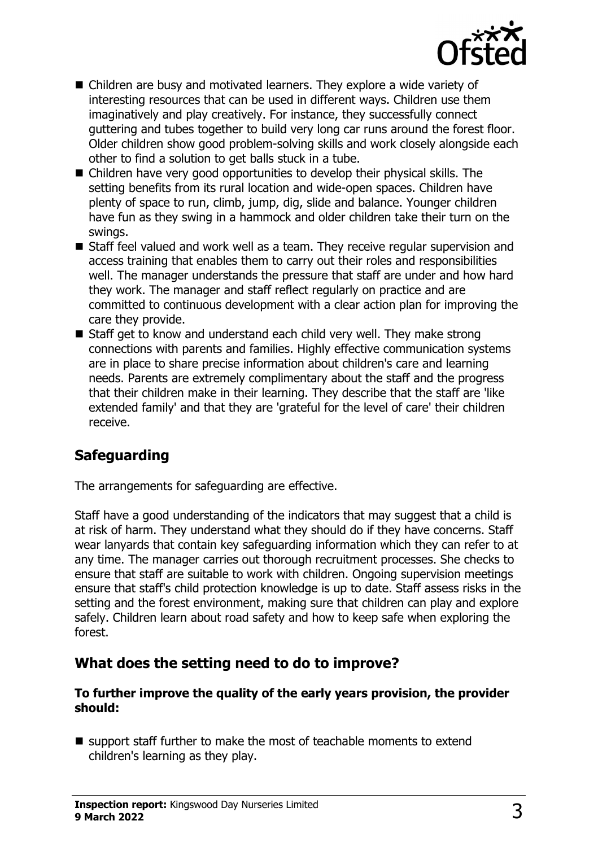

- $\blacksquare$  Children are busy and motivated learners. They explore a wide variety of interesting resources that can be used in different ways. Children use them imaginatively and play creatively. For instance, they successfully connect guttering and tubes together to build very long car runs around the forest floor. Older children show good problem-solving skills and work closely alongside each other to find a solution to get balls stuck in a tube.
- $\blacksquare$  Children have very good opportunities to develop their physical skills. The setting benefits from its rural location and wide-open spaces. Children have plenty of space to run, climb, jump, dig, slide and balance. Younger children have fun as they swing in a hammock and older children take their turn on the swings.
- $\blacksquare$  Staff feel valued and work well as a team. They receive regular supervision and access training that enables them to carry out their roles and responsibilities well. The manager understands the pressure that staff are under and how hard they work. The manager and staff reflect regularly on practice and are committed to continuous development with a clear action plan for improving the care they provide.
- $\blacksquare$  Staff get to know and understand each child very well. They make strong connections with parents and families. Highly effective communication systems are in place to share precise information about children's care and learning needs. Parents are extremely complimentary about the staff and the progress that their children make in their learning. They describe that the staff are 'like extended family' and that they are 'grateful for the level of care' their children receive.

# **Safeguarding**

The arrangements for safeguarding are effective.

Staff have a good understanding of the indicators that may suggest that a child is at risk of harm. They understand what they should do if they have concerns. Staff wear lanyards that contain key safeguarding information which they can refer to at any time. The manager carries out thorough recruitment processes. She checks to ensure that staff are suitable to work with children. Ongoing supervision meetings ensure that staff's child protection knowledge is up to date. Staff assess risks in the setting and the forest environment, making sure that children can play and explore safely. Children learn about road safety and how to keep safe when exploring the forest.

### **What does the setting need to do to improve?**

#### **To further improve the quality of the early years provision, the provider should:**

 $\blacksquare$  support staff further to make the most of teachable moments to extend children's learning as they play.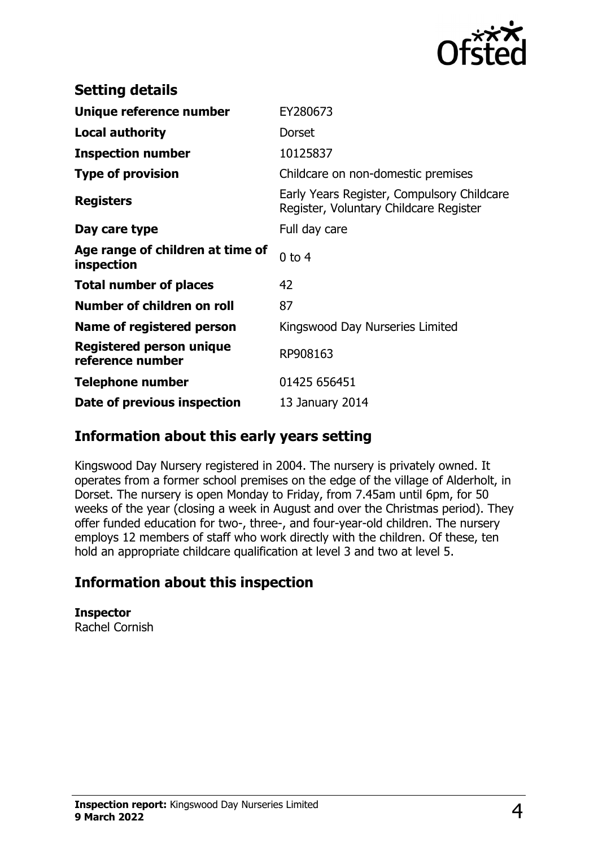

| <b>Setting details</b>                         |                                                                                      |
|------------------------------------------------|--------------------------------------------------------------------------------------|
| Unique reference number                        | EY280673                                                                             |
| <b>Local authority</b>                         | <b>Dorset</b>                                                                        |
| <b>Inspection number</b>                       | 10125837                                                                             |
| <b>Type of provision</b>                       | Childcare on non-domestic premises                                                   |
| <b>Registers</b>                               | Early Years Register, Compulsory Childcare<br>Register, Voluntary Childcare Register |
| Day care type                                  | Full day care                                                                        |
| Age range of children at time of<br>inspection | $0$ to $4$                                                                           |
| <b>Total number of places</b>                  | 42                                                                                   |
| Number of children on roll                     | 87                                                                                   |
| Name of registered person                      | Kingswood Day Nurseries Limited                                                      |
| Registered person unique<br>reference number   | RP908163                                                                             |
| Telephone number                               | 01425 656451                                                                         |
| Date of previous inspection                    | 13 January 2014                                                                      |

### **Information about this early years setting**

Kingswood Day Nursery registered in 2004. The nursery is privately owned. It operates from a former school premises on the edge of the village of Alderholt, in Dorset. The nursery is open Monday to Friday, from 7.45am until 6pm, for 50 weeks of the year (closing a week in August and over the Christmas period). They offer funded education for two-, three-, and four-year-old children. The nursery employs 12 members of staff who work directly with the children. Of these, ten hold an appropriate childcare qualification at level 3 and two at level 5.

# **Information about this inspection**

**Inspector** Rachel Cornish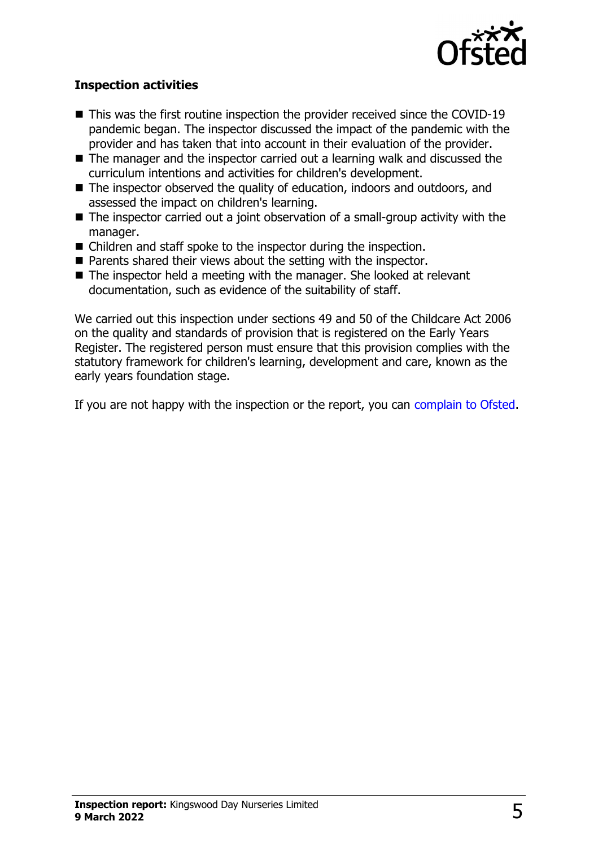

#### **Inspection activities**

- $\blacksquare$  This was the first routine inspection the provider received since the COVID-19 pandemic began. The inspector discussed the impact of the pandemic with the provider and has taken that into account in their evaluation of the provider.
- $\blacksquare$  The manager and the inspector carried out a learning walk and discussed the curriculum intentions and activities for children's development.
- The inspector observed the quality of education, indoors and outdoors, and assessed the impact on children's learning.
- $\blacksquare$  The inspector carried out a joint observation of a small-group activity with the manager.
- $\blacksquare$  Children and staff spoke to the inspector during the inspection.
- $\blacksquare$  Parents shared their views about the setting with the inspector.
- $\blacksquare$  The inspector held a meeting with the manager. She looked at relevant documentation, such as evidence of the suitability of staff.

We carried out this inspection under sections 49 and 50 of the Childcare Act 2006 on the quality and standards of provision that is registered on the Early Years Register. The registered person must ensure that this provision complies with the statutory framework for children's learning, development and care, known as the early years foundation stage.

If you are not happy with the inspection or the report, you can [complain to Ofsted](http://www.gov.uk/complain-ofsted-report).